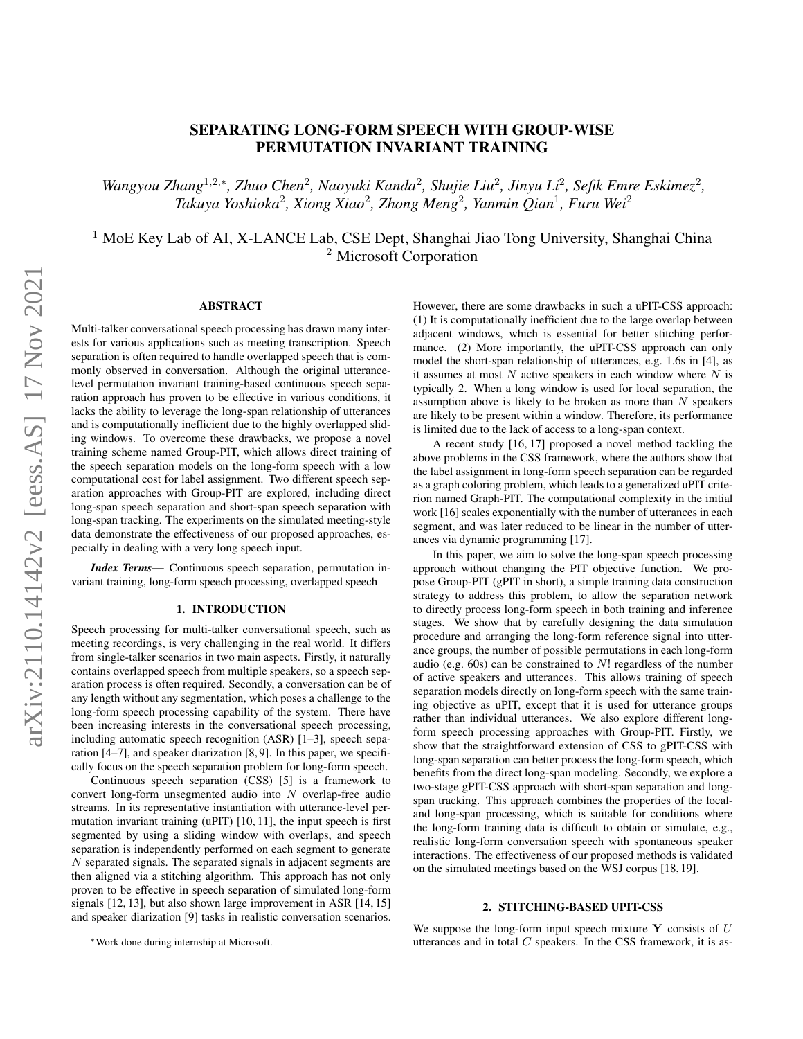# SEPARATING LONG-FORM SPEECH WITH GROUP-WISE PERMUTATION INVARIANT TRAINING

*Wangyou Zhang*<sup>1,2,\*</sup>, *Zhuo Chen<sup>2</sup>, Naoyuki Kanda<sup>2</sup>, Shujie Liu<sup>2</sup>, Jinyu Li<sup>2</sup>, Sefik Emre Eskimez<sup>2</sup>, Takuya Yoshioka*<sup>2</sup> *, Xiong Xiao*<sup>2</sup> *, Zhong Meng*<sup>2</sup> *, Yanmin Qian*<sup>1</sup> *, Furu Wei*<sup>2</sup>

<sup>1</sup> MoE Key Lab of AI, X-LANCE Lab, CSE Dept, Shanghai Jiao Tong University, Shanghai China <sup>2</sup> Microsoft Corporation

## ABSTRACT

Multi-talker conversational speech processing has drawn many interests for various applications such as meeting transcription. Speech separation is often required to handle overlapped speech that is commonly observed in conversation. Although the original utterancelevel permutation invariant training-based continuous speech separation approach has proven to be effective in various conditions, it lacks the ability to leverage the long-span relationship of utterances and is computationally inefficient due to the highly overlapped sliding windows. To overcome these drawbacks, we propose a novel training scheme named Group-PIT, which allows direct training of the speech separation models on the long-form speech with a low computational cost for label assignment. Two different speech separation approaches with Group-PIT are explored, including direct long-span speech separation and short-span speech separation with long-span tracking. The experiments on the simulated meeting-style data demonstrate the effectiveness of our proposed approaches, especially in dealing with a very long speech input.

*Index Terms*— Continuous speech separation, permutation invariant training, long-form speech processing, overlapped speech

# 1. INTRODUCTION

Speech processing for multi-talker conversational speech, such as meeting recordings, is very challenging in the real world. It differs from single-talker scenarios in two main aspects. Firstly, it naturally contains overlapped speech from multiple speakers, so a speech separation process is often required. Secondly, a conversation can be of any length without any segmentation, which poses a challenge to the long-form speech processing capability of the system. There have been increasing interests in the conversational speech processing, including automatic speech recognition (ASR) [\[1–](#page-4-0)[3\]](#page-4-1), speech separation [\[4–](#page-4-2)[7\]](#page-4-3), and speaker diarization [\[8,](#page-4-4) [9\]](#page-4-5). In this paper, we specifically focus on the speech separation problem for long-form speech.

Continuous speech separation (CSS) [\[5\]](#page-4-6) is a framework to convert long-form unsegmented audio into N overlap-free audio streams. In its representative instantiation with utterance-level permutation invariant training (uPIT) [\[10,](#page-4-7) [11\]](#page-4-8), the input speech is first segmented by using a sliding window with overlaps, and speech separation is independently performed on each segment to generate N separated signals. The separated signals in adjacent segments are then aligned via a stitching algorithm. This approach has not only proven to be effective in speech separation of simulated long-form signals [\[12,](#page-4-9) [13\]](#page-4-10), but also shown large improvement in ASR [\[14,](#page-4-11) [15\]](#page-4-12) and speaker diarization [\[9\]](#page-4-5) tasks in realistic conversation scenarios.

However, there are some drawbacks in such a uPIT-CSS approach: (1) It is computationally inefficient due to the large overlap between adjacent windows, which is essential for better stitching performance. (2) More importantly, the uPIT-CSS approach can only model the short-span relationship of utterances, e.g. 1.6s in [\[4\]](#page-4-2), as it assumes at most  $N$  active speakers in each window where  $N$  is typically 2. When a long window is used for local separation, the assumption above is likely to be broken as more than  $N$  speakers are likely to be present within a window. Therefore, its performance is limited due to the lack of access to a long-span context.

A recent study [\[16,](#page-4-13) [17\]](#page-4-14) proposed a novel method tackling the above problems in the CSS framework, where the authors show that the label assignment in long-form speech separation can be regarded as a graph coloring problem, which leads to a generalized uPIT criterion named Graph-PIT. The computational complexity in the initial work [\[16\]](#page-4-13) scales exponentially with the number of utterances in each segment, and was later reduced to be linear in the number of utterances via dynamic programming [\[17\]](#page-4-14).

In this paper, we aim to solve the long-span speech processing approach without changing the PIT objective function. We propose Group-PIT (gPIT in short), a simple training data construction strategy to address this problem, to allow the separation network to directly process long-form speech in both training and inference stages. We show that by carefully designing the data simulation procedure and arranging the long-form reference signal into utterance groups, the number of possible permutations in each long-form audio (e.g.  $60s$ ) can be constrained to  $N!$  regardless of the number of active speakers and utterances. This allows training of speech separation models directly on long-form speech with the same training objective as uPIT, except that it is used for utterance groups rather than individual utterances. We also explore different longform speech processing approaches with Group-PIT. Firstly, we show that the straightforward extension of CSS to gPIT-CSS with long-span separation can better process the long-form speech, which benefits from the direct long-span modeling. Secondly, we explore a two-stage gPIT-CSS approach with short-span separation and longspan tracking. This approach combines the properties of the localand long-span processing, which is suitable for conditions where the long-form training data is difficult to obtain or simulate, e.g., realistic long-form conversation speech with spontaneous speaker interactions. The effectiveness of our proposed methods is validated on the simulated meetings based on the WSJ corpus [\[18,](#page-4-15) [19\]](#page-4-16).

#### 2. STITCHING-BASED UPIT-CSS

<span id="page-0-0"></span>We suppose the long-form input speech mixture  $Y$  consists of  $U$ utterances and in total  $C$  speakers. In the CSS framework, it is as-

<sup>∗</sup>Work done during internship at Microsoft.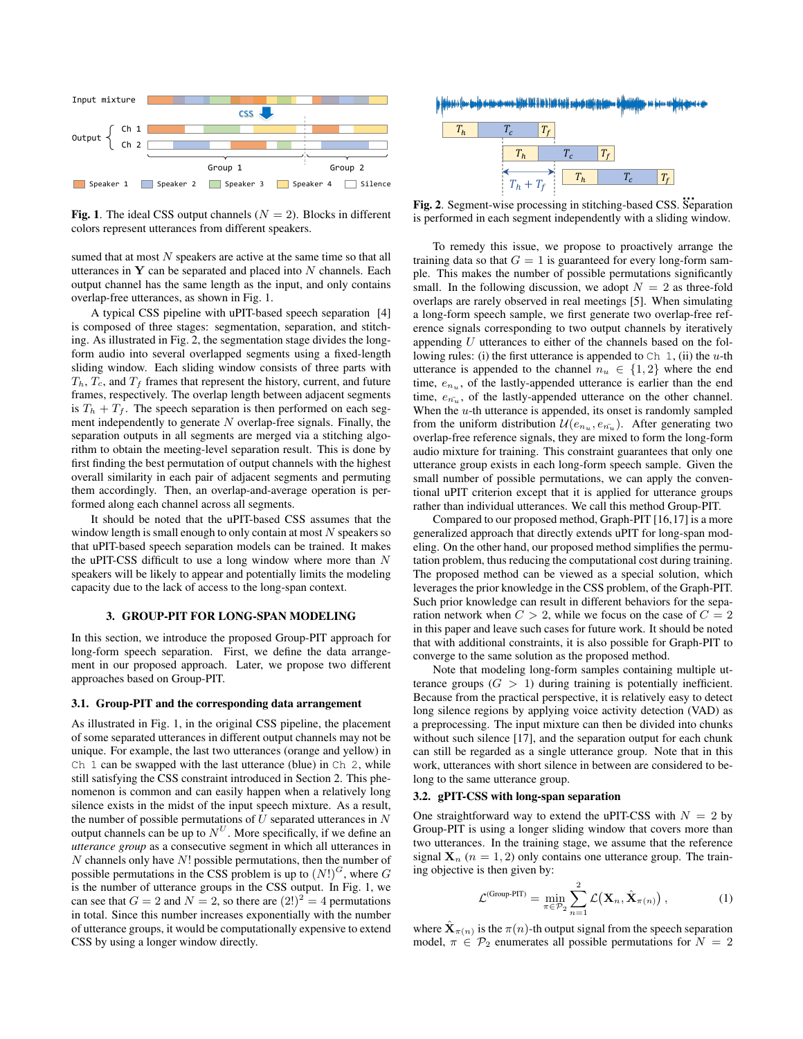

<span id="page-1-0"></span>Fig. 1. The ideal CSS output channels ( $N = 2$ ). Blocks in different colors represent utterances from different speakers.

sumed that at most  $N$  speakers are active at the same time so that all utterances in  $Y$  can be separated and placed into  $N$  channels. Each output channel has the same length as the input, and only contains overlap-free utterances, as shown in Fig. [1.](#page-1-0)

A typical CSS pipeline with uPIT-based speech separation [\[4\]](#page-4-2) is composed of three stages: segmentation, separation, and stitching. As illustrated in Fig. [2,](#page-1-1) the segmentation stage divides the longform audio into several overlapped segments using a fixed-length sliding window. Each sliding window consists of three parts with  $T_h$ ,  $T_c$ , and  $T_f$  frames that represent the history, current, and future frames, respectively. The overlap length between adjacent segments is  $T_h + T_f$ . The speech separation is then performed on each segment independently to generate  $N$  overlap-free signals. Finally, the separation outputs in all segments are merged via a stitching algorithm to obtain the meeting-level separation result. This is done by first finding the best permutation of output channels with the highest overall similarity in each pair of adjacent segments and permuting them accordingly. Then, an overlap-and-average operation is performed along each channel across all segments.

It should be noted that the uPIT-based CSS assumes that the window length is small enough to only contain at most  $N$  speakers so that uPIT-based speech separation models can be trained. It makes the uPIT-CSS difficult to use a long window where more than  $N$ speakers will be likely to appear and potentially limits the modeling capacity due to the lack of access to the long-span context.

#### 3. GROUP-PIT FOR LONG-SPAN MODELING

In this section, we introduce the proposed Group-PIT approach for long-form speech separation. First, we define the data arrangement in our proposed approach. Later, we propose two different approaches based on Group-PIT.

#### <span id="page-1-3"></span>3.1. Group-PIT and the corresponding data arrangement

As illustrated in Fig. [1,](#page-1-0) in the original CSS pipeline, the placement of some separated utterances in different output channels may not be unique. For example, the last two utterances (orange and yellow) in Ch 1 can be swapped with the last utterance (blue) in Ch 2, while still satisfying the CSS constraint introduced in Section [2.](#page-0-0) This phenomenon is common and can easily happen when a relatively long silence exists in the midst of the input speech mixture. As a result, the number of possible permutations of  $U$  separated utterances in  $N$ output channels can be up to  $N^U$ . More specifically, if we define an *utterance group* as a consecutive segment in which all utterances in  $N$  channels only have  $N!$  possible permutations, then the number of possible permutations in the CSS problem is up to  $(N!)^G$ , where G is the number of utterance groups in the CSS output. In Fig. [1,](#page-1-0) we can see that  $G = 2$  and  $N = 2$ , so there are  $(2!)^2 = 4$  permutations in total. Since this number increases exponentially with the number of utterance groups, it would be computationally expensive to extend CSS by using a longer window directly.



<span id="page-1-1"></span>Fig. 2. Segment-wise processing in stitching-based CSS. Separation is performed in each segment independently with a sliding window.

To remedy this issue, we propose to proactively arrange the training data so that  $G = 1$  is guaranteed for every long-form sample. This makes the number of possible permutations significantly small. In the following discussion, we adopt  $N = 2$  as three-fold overlaps are rarely observed in real meetings [\[5\]](#page-4-6). When simulating a long-form speech sample, we first generate two overlap-free reference signals corresponding to two output channels by iteratively appending U utterances to either of the channels based on the following rules: (i) the first utterance is appended to  $Ch 1$ , (ii) the u-th utterance is appended to the channel  $n_u \in \{1,2\}$  where the end time,  $e_{n_u}$ , of the lastly-appended utterance is earlier than the end time,  $e_{n_u}$ , of the lastly-appended utterance on the other channel. When the  $u$ -th utterance is appended, its onset is randomly sampled from the uniform distribution  $\mathcal{U}(e_{n_u}, e_{n_u})$ . After generating two overlap-free reference signals, they are mixed to form the long-form audio mixture for training. This constraint guarantees that only one utterance group exists in each long-form speech sample. Given the small number of possible permutations, we can apply the conventional uPIT criterion except that it is applied for utterance groups rather than individual utterances. We call this method Group-PIT.

Compared to our proposed method, Graph-PIT [\[16](#page-4-13)[,17\]](#page-4-14) is a more generalized approach that directly extends uPIT for long-span modeling. On the other hand, our proposed method simplifies the permutation problem, thus reducing the computational cost during training. The proposed method can be viewed as a special solution, which leverages the prior knowledge in the CSS problem, of the Graph-PIT. Such prior knowledge can result in different behaviors for the separation network when  $C > 2$ , while we focus on the case of  $C = 2$ in this paper and leave such cases for future work. It should be noted that with additional constraints, it is also possible for Graph-PIT to converge to the same solution as the proposed method.

Note that modeling long-form samples containing multiple utterance groups  $(G > 1)$  during training is potentially inefficient. Because from the practical perspective, it is relatively easy to detect long silence regions by applying voice activity detection (VAD) as a preprocessing. The input mixture can then be divided into chunks without such silence [\[17\]](#page-4-14), and the separation output for each chunk can still be regarded as a single utterance group. Note that in this work, utterances with short silence in between are considered to belong to the same utterance group.

## <span id="page-1-2"></span>3.2. gPIT-CSS with long-span separation

One straightforward way to extend the uPIT-CSS with  $N = 2$  by Group-PIT is using a longer sliding window that covers more than two utterances. In the training stage, we assume that the reference signal  $X_n$  ( $n = 1, 2$ ) only contains one utterance group. The training objective is then given by:

<span id="page-1-4"></span>
$$
\mathcal{L}^{(\text{Group-PIT})} = \min_{\pi \in \mathcal{P}_2} \sum_{n=1}^2 \mathcal{L}(\mathbf{X}_n, \hat{\mathbf{X}}_{\pi(n)}) ,
$$
 (1)

where  $\hat{\mathbf{X}}_{\pi(n)}$  is the  $\pi(n)$ -th output signal from the speech separation model,  $\pi \in \mathcal{P}_2$  enumerates all possible permutations for  $N = 2$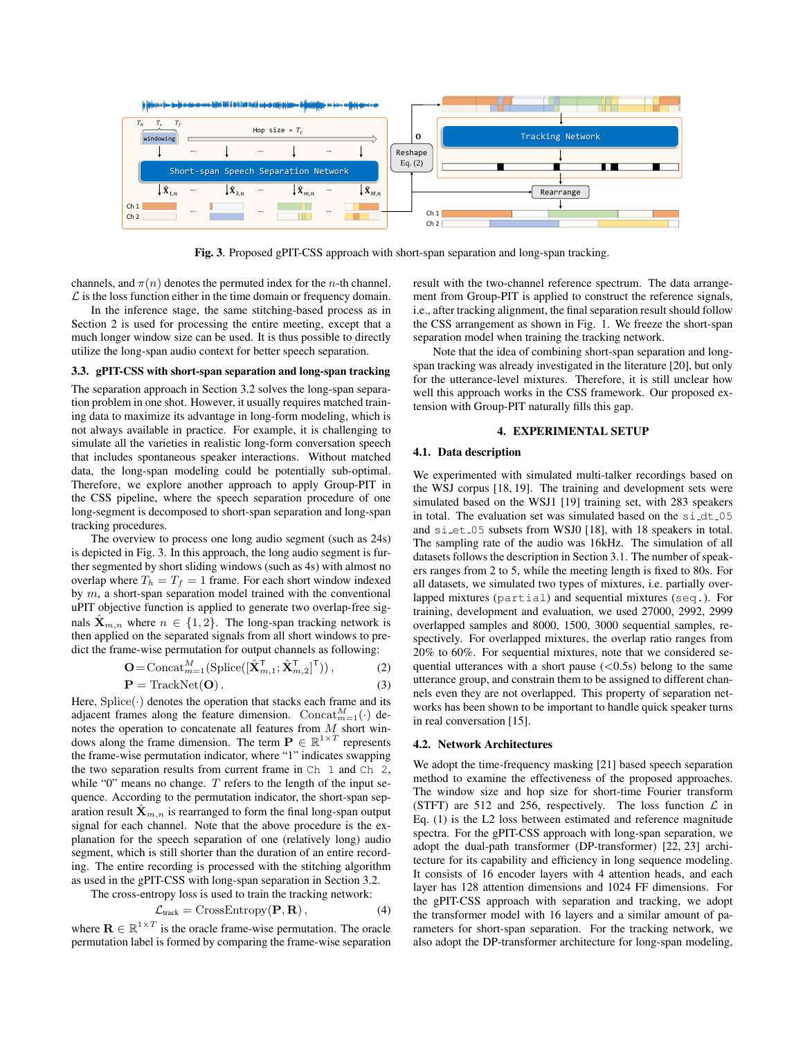

<span id="page-2-0"></span>Fig. 3. Proposed gPIT-CSS approach with short-span separation and long-span tracking.

channels, and  $\pi(n)$  denotes the permuted index for the *n*-th channel.  $\mathcal L$  is the loss function either in the time domain or frequency domain.

In the inference stage, the same stitching-based process as in Section [2](#page-0-0) is used for processing the entire meeting, except that a much longer window size can be used. It is thus possible to directly utilize the long-span audio context for better speech separation.

### 3.3. gPIT-CSS with short-span separation and long-span tracking

The separation approach in Section [3.2](#page-1-2) solves the long-span separation problem in one shot. However, it usually requires matched training data to maximize its advantage in long-form modeling, which is not always available in practice. For example, it is challenging to simulate all the varieties in realistic long-form conversation speech that includes spontaneous speaker interactions. Without matched data, the long-span modeling could be potentially sub-optimal. Therefore, we explore another approach to apply Group-PIT in the CSS pipeline, where the speech separation procedure of one long-segment is decomposed to short-span separation and long-span tracking procedures.

The overview to process one long audio segment (such as 24s) is depicted in Fig. [3.](#page-2-0) In this approach, the long audio segment is further segmented by short sliding windows (such as 4s) with almost no overlap where  $T_h = T_f = 1$  frame. For each short window indexed by  $m$ , a short-span separation model trained with the conventional uPIT objective function is applied to generate two overlap-free signals  $\hat{\mathbf{X}}_{m,n}$  where  $n \in \{1,2\}$ . The long-span tracking network is then applied on the separated signals from all short windows to predict the frame-wise permutation for output channels as following:

$$
\mathbf{O} = \text{Concat}_{m=1}^{M}(\text{Splice}([\hat{\mathbf{X}}_{m,1}^{T}; \hat{\mathbf{X}}_{m,2}^{T}]^{T}))\,,\tag{2}
$$

$$
\mathbf{P} = \text{TrackNet}(\mathbf{O})\,. \tag{3}
$$

Here,  $Splice(\cdot)$  denotes the operation that stacks each frame and its adjacent frames along the feature dimension. Concat $_{m=1}^{M}(\cdot)$  denotes the operation to concatenate all features from  $M$  short windows along the frame dimension. The term  $\mathbf{P} \in \mathbb{R}^{1 \times T}$  represents the frame-wise permutation indicator, where "1" indicates swapping the two separation results from current frame in  $Ch 1$  and  $Ch 2$ , while "0" means no change.  $T$  refers to the length of the input sequence. According to the permutation indicator, the short-span separation result  $\hat{\mathbf{X}}_{m,n}$  is rearranged to form the final long-span output signal for each channel. Note that the above procedure is the explanation for the speech separation of one (relatively long) audio segment, which is still shorter than the duration of an entire recording. The entire recording is processed with the stitching algorithm as used in the gPIT-CSS with long-span separation in Section [3.2.](#page-1-2)

The cross-entropy loss is used to train the tracking network:

$$
\mathcal{L}_{\text{track}} = \text{CrossEntropy}(\mathbf{P}, \mathbf{R}), \qquad (4)
$$

where  $\mathbf{R} \in \mathbb{R}^{1 \times T}$  is the oracle frame-wise permutation. The oracle permutation label is formed by comparing the frame-wise separation result with the two-channel reference spectrum. The data arrangement from Group-PIT is applied to construct the reference signals, i.e., after tracking alignment, the final separation result should follow the CSS arrangement as shown in Fig. [1.](#page-1-0) We freeze the short-span separation model when training the tracking network.

Note that the idea of combining short-span separation and longspan tracking was already investigated in the literature [\[20\]](#page-4-17), but only for the utterance-level mixtures. Therefore, it is still unclear how well this approach works in the CSS framework. Our proposed extension with Group-PIT naturally fills this gap.

## 4. EXPERIMENTAL SETUP

## 4.1. Data description

We experimented with simulated multi-talker recordings based on the WSJ corpus [\[18,](#page-4-15) [19\]](#page-4-16). The training and development sets were simulated based on the WSJ1 [\[19\]](#page-4-16) training set, with 283 speakers in total. The evaluation set was simulated based on the  $si_d$   $dt$  05 and si et 05 subsets from WSJ0 [\[18\]](#page-4-15), with 18 speakers in total. The sampling rate of the audio was 16kHz. The simulation of all datasets follows the description in Section [3.1.](#page-1-3) The number of speakers ranges from 2 to 5, while the meeting length is fixed to 80s. For all datasets, we simulated two types of mixtures, i.e. partially overlapped mixtures (partial) and sequential mixtures (seq.). For training, development and evaluation, we used 27000, 2992, 2999 overlapped samples and 8000, 1500, 3000 sequential samples, respectively. For overlapped mixtures, the overlap ratio ranges from 20% to 60%. For sequential mixtures, note that we considered sequential utterances with a short pause  $(<0.5s$ ) belong to the same utterance group, and constrain them to be assigned to different channels even they are not overlapped. This property of separation networks has been shown to be important to handle quick speaker turns in real conversation [\[15\]](#page-4-12).

#### 4.2. Network Architectures

We adopt the time-frequency masking [\[21\]](#page-4-18) based speech separation method to examine the effectiveness of the proposed approaches. The window size and hop size for short-time Fourier transform (STFT) are 512 and 256, respectively. The loss function  $\mathcal{L}$  in Eq. [\(1\)](#page-1-4) is the L2 loss between estimated and reference magnitude spectra. For the gPIT-CSS approach with long-span separation, we adopt the dual-path transformer (DP-transformer) [\[22,](#page-4-19) [23\]](#page-4-20) architecture for its capability and efficiency in long sequence modeling. It consists of 16 encoder layers with 4 attention heads, and each layer has 128 attention dimensions and 1024 FF dimensions. For the gPIT-CSS approach with separation and tracking, we adopt the transformer model with 16 layers and a similar amount of parameters for short-span separation. For the tracking network, we also adopt the DP-transformer architecture for long-span modeling,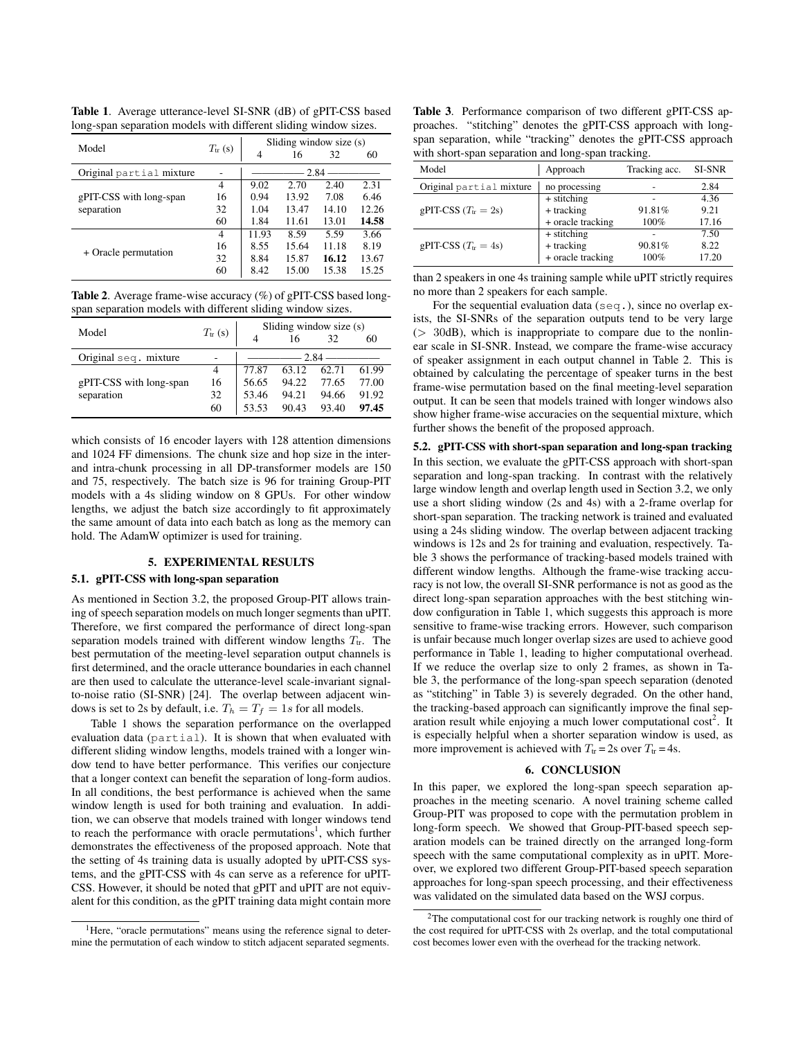<span id="page-3-0"></span>Table 1. Average utterance-level SI-SNR (dB) of gPIT-CSS based long-span separation models with different sliding window sizes.

| Model                                 | $T_{tr}$ (s) | Sliding window size (s) |       |       |       |
|---------------------------------------|--------------|-------------------------|-------|-------|-------|
|                                       |              | 4                       | 16    | 32    | 60    |
| Original partial mixture              |              | 2.84                    |       |       |       |
| gPIT-CSS with long-span<br>separation | 4            | 9.02                    | 2.70  | 2.40  | 2.31  |
|                                       | 16           | 0.94                    | 13.92 | 7.08  | 6.46  |
|                                       | 32           | 1.04                    | 13.47 | 14.10 | 12.26 |
|                                       | 60           | 1.84                    | 11.61 | 13.01 | 14.58 |
| + Oracle permutation                  | 4            | 11.93                   | 8.59  | 5.59  | 3.66  |
|                                       | 16           | 8.55                    | 15.64 | 11.18 | 8.19  |
|                                       | 32           | 8.84                    | 15.87 | 16.12 | 13.67 |
|                                       | 60           | 8.42                    | 15.00 | 15.38 | 15.25 |

<span id="page-3-2"></span>Table 2. Average frame-wise accuracy (%) of gPIT-CSS based longspan separation models with different sliding window sizes.

| Model                                 | $T_{tr}$ (s) |       | Sliding window size (s)<br>16 | 32    | 60    |
|---------------------------------------|--------------|-------|-------------------------------|-------|-------|
| Original seq. mixture                 | ۰            | 2.84  |                               |       |       |
| gPIT-CSS with long-span<br>separation | 4            | 77.87 | 63.12                         | 62.71 | 61.99 |
|                                       | 16           | 56.65 | 94.22                         | 77.65 | 77.00 |
|                                       | 32           | 53.46 | 94.21                         | 94.66 | 91.92 |
|                                       | 60           | 53.53 | 90.43                         | 93.40 | 97.45 |

which consists of 16 encoder layers with 128 attention dimensions and 1024 FF dimensions. The chunk size and hop size in the interand intra-chunk processing in all DP-transformer models are 150 and 75, respectively. The batch size is 96 for training Group-PIT models with a 4s sliding window on 8 GPUs. For other window lengths, we adjust the batch size accordingly to fit approximately the same amount of data into each batch as long as the memory can hold. The AdamW optimizer is used for training.

#### 5. EXPERIMENTAL RESULTS

## 5.1. gPIT-CSS with long-span separation

As mentioned in Section [3.2,](#page-1-2) the proposed Group-PIT allows training of speech separation models on much longer segments than uPIT. Therefore, we first compared the performance of direct long-span separation models trained with different window lengths  $T_{tr}$ . The best permutation of the meeting-level separation output channels is first determined, and the oracle utterance boundaries in each channel are then used to calculate the utterance-level scale-invariant signalto-noise ratio (SI-SNR) [\[24\]](#page-4-21). The overlap between adjacent windows is set to 2s by default, i.e.  $T_h = T_f = 1s$  for all models.

Table [1](#page-3-0) shows the separation performance on the overlapped evaluation data (partial). It is shown that when evaluated with different sliding window lengths, models trained with a longer window tend to have better performance. This verifies our conjecture that a longer context can benefit the separation of long-form audios. In all conditions, the best performance is achieved when the same window length is used for both training and evaluation. In addition, we can observe that models trained with longer windows tend to reach the performance with oracle permutations<sup>[1](#page-3-1)</sup>, which further demonstrates the effectiveness of the proposed approach. Note that the setting of 4s training data is usually adopted by uPIT-CSS systems, and the gPIT-CSS with 4s can serve as a reference for uPIT-CSS. However, it should be noted that gPIT and uPIT are not equivalent for this condition, as the gPIT training data might contain more

<span id="page-3-3"></span>Table 3. Performance comparison of two different gPIT-CSS approaches. "stitching" denotes the gPIT-CSS approach with longspan separation, while "tracking" denotes the gPIT-CSS approach with short-span separation and long-span tracking.

| Model                    | Approach          | Tracking acc. | <b>SI-SNR</b> |
|--------------------------|-------------------|---------------|---------------|
| Original partial mixture | no processing     |               | 2.84          |
| gPIT-CSS $(T_{tr} = 2s)$ | + stitching       |               | 4.36          |
|                          | + tracking        | 91.81%        | 9.21          |
|                          | + oracle tracking | 100%          | 17.16         |
| gPIT-CSS $(T_{tr} = 4s)$ | + stitching       |               | 7.50          |
|                          | + tracking        | 90.81%        | 8.22          |
|                          | + oracle tracking | 100%          | 17.20         |

than 2 speakers in one 4s training sample while uPIT strictly requires no more than 2 speakers for each sample.

For the sequential evaluation data (seq.), since no overlap exists, the SI-SNRs of the separation outputs tend to be very large  $(> 30dB)$ , which is inappropriate to compare due to the nonlinear scale in SI-SNR. Instead, we compare the frame-wise accuracy of speaker assignment in each output channel in Table [2.](#page-3-2) This is obtained by calculating the percentage of speaker turns in the best frame-wise permutation based on the final meeting-level separation output. It can be seen that models trained with longer windows also show higher frame-wise accuracies on the sequential mixture, which further shows the benefit of the proposed approach.

5.2. gPIT-CSS with short-span separation and long-span tracking In this section, we evaluate the gPIT-CSS approach with short-span separation and long-span tracking. In contrast with the relatively large window length and overlap length used in Section [3.2,](#page-1-2) we only use a short sliding window (2s and 4s) with a 2-frame overlap for short-span separation. The tracking network is trained and evaluated using a 24s sliding window. The overlap between adjacent tracking windows is 12s and 2s for training and evaluation, respectively. Table [3](#page-3-3) shows the performance of tracking-based models trained with different window lengths. Although the frame-wise tracking accuracy is not low, the overall SI-SNR performance is not as good as the direct long-span separation approaches with the best stitching window configuration in Table [1,](#page-3-0) which suggests this approach is more sensitive to frame-wise tracking errors. However, such comparison is unfair because much longer overlap sizes are used to achieve good performance in Table [1,](#page-3-0) leading to higher computational overhead. If we reduce the overlap size to only 2 frames, as shown in Table [3,](#page-3-3) the performance of the long-span speech separation (denoted as "stitching" in Table [3\)](#page-3-3) is severely degraded. On the other hand, the tracking-based approach can significantly improve the final separation result while enjoying a much lower computational  $cost^2$  $cost^2$ . It is especially helpful when a shorter separation window is used, as more improvement is achieved with  $T_{tr} = 2s$  over  $T_{tr} = 4s$ .

## 6. CONCLUSION

In this paper, we explored the long-span speech separation approaches in the meeting scenario. A novel training scheme called Group-PIT was proposed to cope with the permutation problem in long-form speech. We showed that Group-PIT-based speech separation models can be trained directly on the arranged long-form speech with the same computational complexity as in uPIT. Moreover, we explored two different Group-PIT-based speech separation approaches for long-span speech processing, and their effectiveness was validated on the simulated data based on the WSJ corpus.

<span id="page-3-1"></span><sup>&</sup>lt;sup>1</sup>Here, "oracle permutations" means using the reference signal to determine the permutation of each window to stitch adjacent separated segments.

<span id="page-3-4"></span><sup>2</sup>The computational cost for our tracking network is roughly one third of the cost required for uPIT-CSS with 2s overlap, and the total computational cost becomes lower even with the overhead for the tracking network.